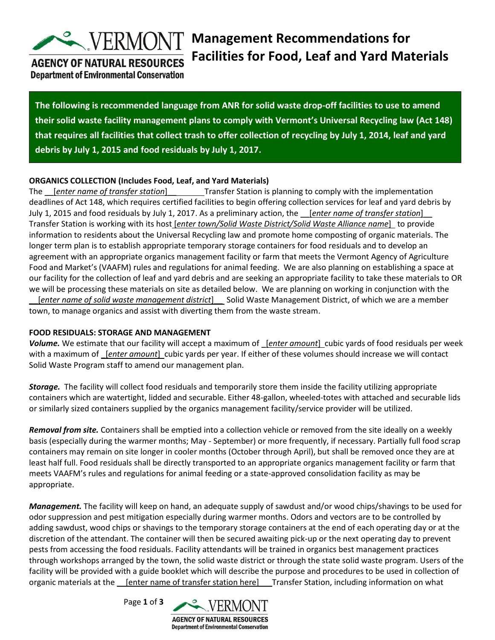

# **Management Recommendations for Facilities for Food, Leaf and Yard Materials**

### **AGENCY OF NATURAL RESOURCES Department of Environmental Conservation**

**The following is recommended language from ANR for solid waste drop-off facilities to use to amend their solid waste facility management plans to comply with Vermont's Universal Recycling law (Act 148) that requires all facilities that collect trash to offer collection of recycling by July 1, 2014, leaf and yard debris by July 1, 2015 and food residuals by July 1, 2017.**

### **ORGANICS COLLECTION (Includes Food, Leaf, and Yard Materials)**

The *[enter name of transfer station*] Transfer Station is planning to comply with the implementation deadlines of Act 148, which requires certified facilities to begin offering collection services for leaf and yard debris by July 1, 2015 and food residuals by July 1, 2017. As a preliminary action, the \_\_[*enter name of transfer station*]\_\_ Transfer Station is working with its host [*enter town/Solid Waste District/Solid Waste Alliance name*] to provide information to residents about the Universal Recycling law and promote home composting of organic materials. The longer term plan is to establish appropriate temporary storage containers for food residuals and to develop an agreement with an appropriate organics management facility or farm that meets the Vermont Agency of Agriculture Food and Market's (VAAFM) rules and regulations for animal feeding. We are also planning on establishing a space at our facility for the collection of leaf and yard debris and are seeking an appropriate facility to take these materials to OR we will be processing these materials on site as detailed below. We are planning on working in conjunction with the \_\_[*enter name of solid waste management district*]\_\_ Solid Waste Management District, of which we are a member town, to manage organics and assist with diverting them from the waste stream.

### **FOOD RESIDUALS: STORAGE AND MANAGEMENT**

*Volume.* We estimate that our facility will accept a maximum of \_[*enter amount*] cubic yards of food residuals per week with a maximum of *[enter amount]* cubic yards per year. If either of these volumes should increase we will contact Solid Waste Program staff to amend our management plan.

*Storage.* The facility will collect food residuals and temporarily store them inside the facility utilizing appropriate containers which are watertight, lidded and securable. Either 48-gallon, wheeled-totes with attached and securable lids or similarly sized containers supplied by the organics management facility/service provider will be utilized.

*Removal from site.* Containers shall be emptied into a collection vehicle or removed from the site ideally on a weekly basis (especially during the warmer months; May - September) or more frequently, if necessary. Partially full food scrap containers may remain on site longer in cooler months (October through April), but shall be removed once they are at least half full. Food residuals shall be directly transported to an appropriate organics management facility or farm that meets VAAFM's rules and regulations for animal feeding or a state-approved consolidation facility as may be appropriate.

*Management.* The facility will keep on hand, an adequate supply of sawdust and/or wood chips/shavings to be used for odor suppression and pest mitigation especially during warmer months. Odors and vectors are to be controlled by adding sawdust, wood chips or shavings to the temporary storage containers at the end of each operating day or at the discretion of the attendant. The container will then be secured awaiting pick-up or the next operating day to prevent pests from accessing the food residuals. Facility attendants will be trained in organics best management practices through workshops arranged by the town, the solid waste district or through the state solid waste program. Users of the facility will be provided with a guide booklet which will describe the purpose and procedures to be used in collection of organic materials at the \_\_[enter name of transfer station here]\_\_ Transfer Station, including information on what

Page **1** of **3**

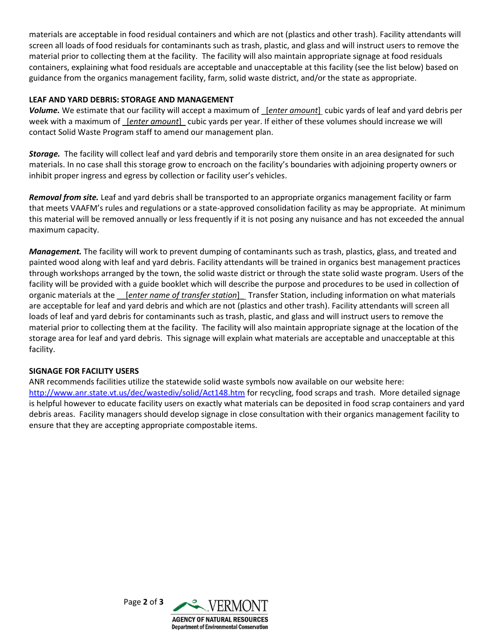materials are acceptable in food residual containers and which are not (plastics and other trash). Facility attendants will screen all loads of food residuals for contaminants such as trash, plastic, and glass and will instruct users to remove the material prior to collecting them at the facility. The facility will also maintain appropriate signage at food residuals containers, explaining what food residuals are acceptable and unacceptable at this facility (see the list below) based on guidance from the organics management facility, farm, solid waste district, and/or the state as appropriate.

### **LEAF AND YARD DEBRIS: STORAGE AND MANAGEMENT**

*Volume.* We estimate that our facility will accept a maximum of \_[*enter amount*] cubic yards of leaf and yard debris per week with a maximum of \_[*enter amount*] cubic yards per year. If either of these volumes should increase we will contact Solid Waste Program staff to amend our management plan.

*Storage.* The facility will collect leaf and yard debris and temporarily store them onsite in an area designated for such materials. In no case shall this storage grow to encroach on the facility's boundaries with adjoining property owners or inhibit proper ingress and egress by collection or facility user's vehicles.

*Removal from site.* Leaf and yard debris shall be transported to an appropriate organics management facility or farm that meets VAAFM's rules and regulations or a state-approved consolidation facility as may be appropriate. At minimum this material will be removed annually or less frequently if it is not posing any nuisance and has not exceeded the annual maximum capacity.

*Management.* The facility will work to prevent dumping of contaminants such as trash, plastics, glass, and treated and painted wood along with leaf and yard debris. Facility attendants will be trained in organics best management practices through workshops arranged by the town, the solid waste district or through the state solid waste program. Users of the facility will be provided with a guide booklet which will describe the purpose and procedures to be used in collection of organic materials at the \_\_[*enter name of transfer station*]\_ Transfer Station, including information on what materials are acceptable for leaf and yard debris and which are not (plastics and other trash). Facility attendants will screen all loads of leaf and yard debris for contaminants such as trash, plastic, and glass and will instruct users to remove the material prior to collecting them at the facility. The facility will also maintain appropriate signage at the location of the storage area for leaf and yard debris. This signage will explain what materials are acceptable and unacceptable at this facility.

#### **SIGNAGE FOR FACILITY USERS**

ANR recommends facilities utilize the statewide solid waste symbols now available on our website here: <http://www.anr.state.vt.us/dec/wastediv/solid/Act148.htm> for recycling, food scraps and trash. More detailed signage is helpful however to educate facility users on exactly what materials can be deposited in food scrap containers and yard debris areas. Facility managers should develop signage in close consultation with their organics management facility to ensure that they are accepting appropriate compostable items.